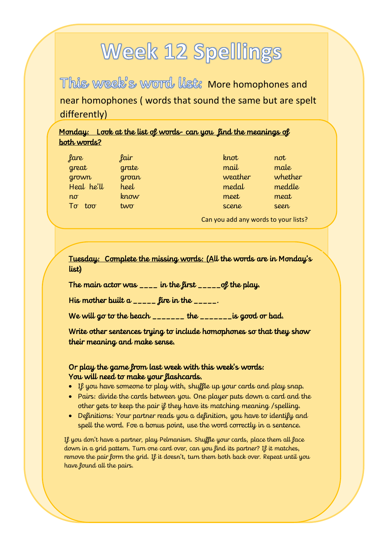# **Week 12 Spellings**

This week's word list: More homophones and near homophones ( words that sound the same but are spelt differently)

### Monday: Look at the list of words- can you find the meanings of both words?

| fare          | fair       | knot    | not     |
|---------------|------------|---------|---------|
| great         | grate      | mail    | male    |
| grown         | groan      | weather | whether |
| Heal he'll    | heel       | medal   | meddle  |
| $n\sigma$     | know       | meet    | meat    |
| $T\sigma$ too | $tw\sigma$ | scene   | seen    |

Can you add any words to your lists?

Tuesday: Complete the missing words: (All the words are in Monday's list)

The main actor was  $\frac{1}{2}$  in the first  $\frac{1}{2}$  =  $\frac{1}{2}$  of the play.

His mother built  $a_{\text{unif}}$  fire in the  $\text{unif}}$ .

We will go to the beach \_\_\_\_\_\_\_ the \_\_\_\_\_\_\_is good or bad.

Write other sentences trying to include homophones so that they show their meaning and make sense.

#### Or play the game from last week with this week's words: You will need to make your flashcards.

- If you have someone to play with, shuffle up your cards and play snap.
- Pairs: divide the cards between you. One player puts down a card and the other gets to keep the pair if they have its matching meaning /spelling.
- Definitions: Your partner reads you a definition, you have to identify and spell the word. Foe a bonus point, use the word correctly in a sentence.

If you don't have a partner, play Pelmanism. Shuffle your cards, place them all face down in a grid pattern. Turn one card over, can you find its partner? If it matches, remove the pair form the grid. If it doesn't, turn them both back over. Repeat until you have found all the pairs.